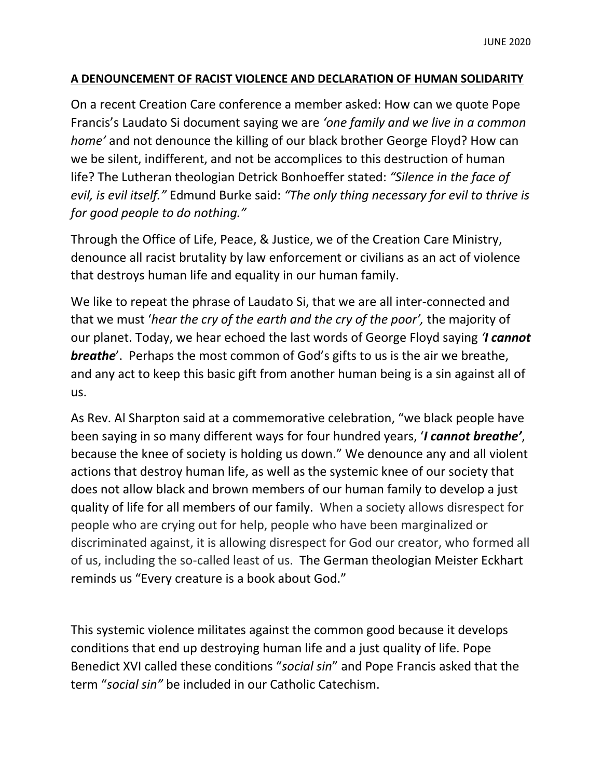## **A DENOUNCEMENT OF RACIST VIOLENCE AND DECLARATION OF HUMAN SOLIDARITY**

On a recent Creation Care conference a member asked: How can we quote Pope Francis's Laudato Si document saying we are *'one family and we live in a common home'* and not denounce the killing of our black brother George Floyd? How can we be silent, indifferent, and not be accomplices to this destruction of human life? The Lutheran theologian Detrick Bonhoeffer stated: *"Silence in the face of evil, is evil itself."* Edmund Burke said: *"The only thing necessary for evil to thrive is for good people to do nothing."*

Through the Office of Life, Peace, & Justice, we of the Creation Care Ministry, denounce all racist brutality by law enforcement or civilians as an act of violence that destroys human life and equality in our human family.

We like to repeat the phrase of Laudato Si, that we are all inter-connected and that we must '*hear the cry of the earth and the cry of the poor',* the majority of our planet. Today, we hear echoed the last words of George Floyd saying *'I cannot breathe*'. Perhaps the most common of God's gifts to us is the air we breathe, and any act to keep this basic gift from another human being is a sin against all of us.

As Rev. Al Sharpton said at a commemorative celebration, "we black people have been saying in so many different ways for four hundred years, '*I cannot breathe'*, because the knee of society is holding us down." We denounce any and all violent actions that destroy human life, as well as the systemic knee of our society that does not allow black and brown members of our human family to develop a just quality of life for all members of our family. When a society allows disrespect for people who are crying out for help, people who have been marginalized or discriminated against, it is allowing disrespect for God our creator, who formed all of us, including the so-called least of us. The German theologian Meister Eckhart reminds us "Every creature is a book about God."

This systemic violence militates against the common good because it develops conditions that end up destroying human life and a just quality of life. Pope Benedict XVI called these conditions "*social sin*" and Pope Francis asked that the term "*social sin"* be included in our Catholic Catechism.